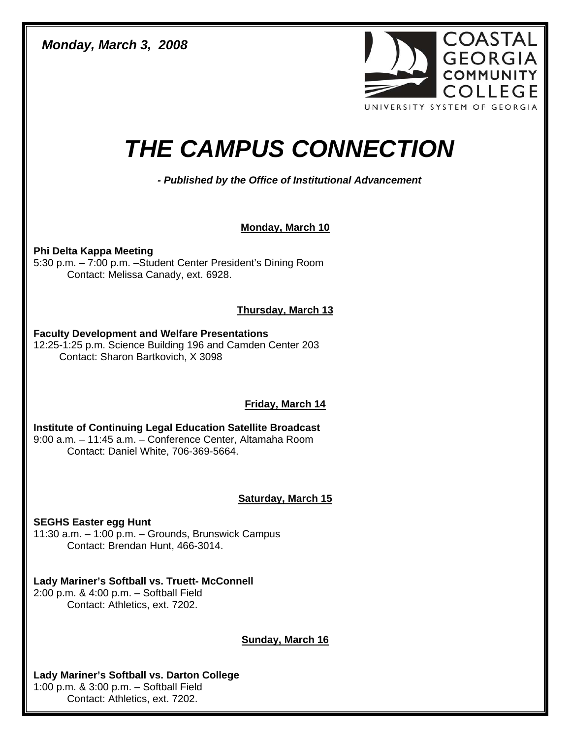*Monday, March 3, 2008* 



# *THE CAMPUS CONNECTION*

*- Published by the Office of Institutional Advancement* 

## **Monday, March 10**

**Phi Delta Kappa Meeting**  5:30 p.m. – 7:00 p.m. –Student Center President's Dining Room Contact: Melissa Canady, ext. 6928.

## **Thursday, March 13**

#### **Faculty Development and Welfare Presentations**

12:25-1:25 p.m. Science Building 196 and Camden Center 203 Contact: Sharon Bartkovich, X 3098

# **Friday, March 14**

**Institute of Continuing Legal Education Satellite Broadcast**  9:00 a.m. – 11:45 a.m. – Conference Center, Altamaha Room Contact: Daniel White, 706-369-5664.

## **Saturday, March 15**

**SEGHS Easter egg Hunt**  11:30 a.m. – 1:00 p.m. – Grounds, Brunswick Campus Contact: Brendan Hunt, 466-3014.

# **Lady Mariner's Softball vs. Truett- McConnell**

2:00 p.m. & 4:00 p.m. – Softball Field Contact: Athletics, ext. 7202.

## **Sunday, March 16**

## **Lady Mariner's Softball vs. Darton College**

1:00 p.m. & 3:00 p.m. – Softball Field Contact: Athletics, ext. 7202.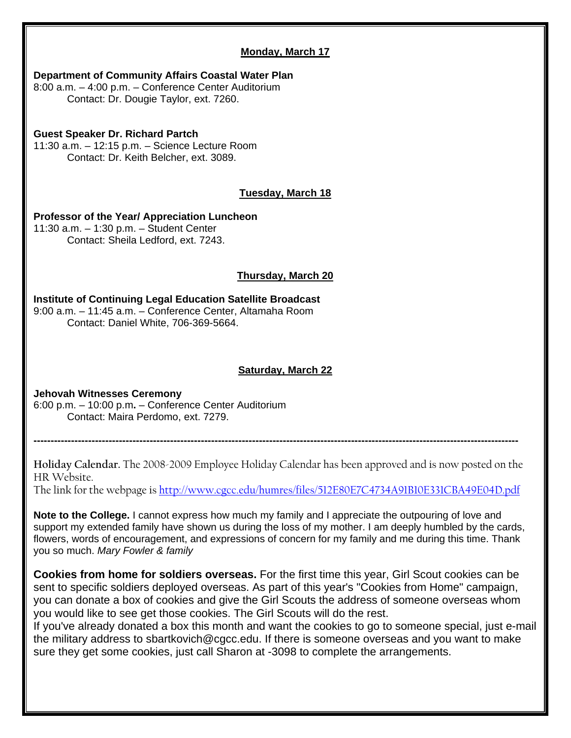### **Monday, March 17**

#### **Department of Community Affairs Coastal Water Plan**

8:00 a.m. – 4:00 p.m. – Conference Center Auditorium Contact: Dr. Dougie Taylor, ext. 7260.

### **Guest Speaker Dr. Richard Partch**

11:30 a.m. – 12:15 p.m. – Science Lecture Room Contact: Dr. Keith Belcher, ext. 3089.

## **Tuesday, March 18**

#### **Professor of the Year/ Appreciation Luncheon**  11:30 a.m. – 1:30 p.m. – Student Center Contact: Sheila Ledford, ext. 7243.

## **Thursday, March 20**

#### **Institute of Continuing Legal Education Satellite Broadcast**  9:00 a.m. – 11:45 a.m. – Conference Center, Altamaha Room Contact: Daniel White, 706-369-5664.

## **Saturday, March 22**

#### **Jehovah Witnesses Ceremony**  6:00 p.m. – 10:00 p.m**.** – Conference Center Auditorium Contact: Maira Perdomo, ext. 7279.

**Holiday Calendar.** The 2008-2009 Employee Holiday Calendar has been approved and is now posted on the HR Website.

**----------------------------------------------------------------------------------------------------------------------------------------------** 

The link for the webpage is <http://www.cgcc.edu/humres/files/512E80E7C4734A91B10E331CBA49E04D.pdf>

**Note to the College.** I cannot express how much my family and I appreciate the outpouring of love and support my extended family have shown us during the loss of my mother. I am deeply humbled by the cards, flowers, words of encouragement, and expressions of concern for my family and me during this time. Thank you so much. *Mary Fowler & family* 

**Cookies from home for soldiers overseas.** For the first time this year, Girl Scout cookies can be sent to specific soldiers deployed overseas. As part of this year's "Cookies from Home" campaign, you can donate a box of cookies and give the Girl Scouts the address of someone overseas whom you would like to see get those cookies. The Girl Scouts will do the rest.

If you've already donated a box this month and want the cookies to go to someone special, just e-mail the military address to sbartkovich@cgcc.edu. If there is someone overseas and you want to make sure they get some cookies, just call Sharon at -3098 to complete the arrangements.